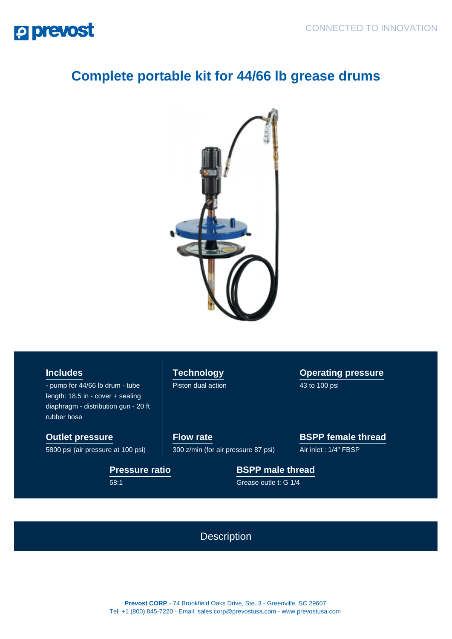## **P prevost**

## **Complete portable kit for 44/66 lb grease drums**



**Includes**

- pump for 44/66 lb drum - tube length: 18.5 in - cover + sealing diaphragm - distribution gun - 20 ft rubber hose

**Outlet pressure**

5800 psi (air pressure at 100 psi)

**Pressure ratio** 58:1

**Technology** Piston dual action **Operating pressure** 43 to 100 psi

**Flow rate** 300 z/min (for air pressure 87 psi) **BSPP female thread**

Air inlet : 1/4" FBSP

**BSPP male thread** Grease outle t: G 1/4

**Description** 

**Prevost CORP** - 74 Brookfield Oaks Drive, Ste. 3 - Greenville, SC 29607 Tel: +1 (800) 845-7220 - Email: sales.corp@prevostusa.com - www.prevostusa.com